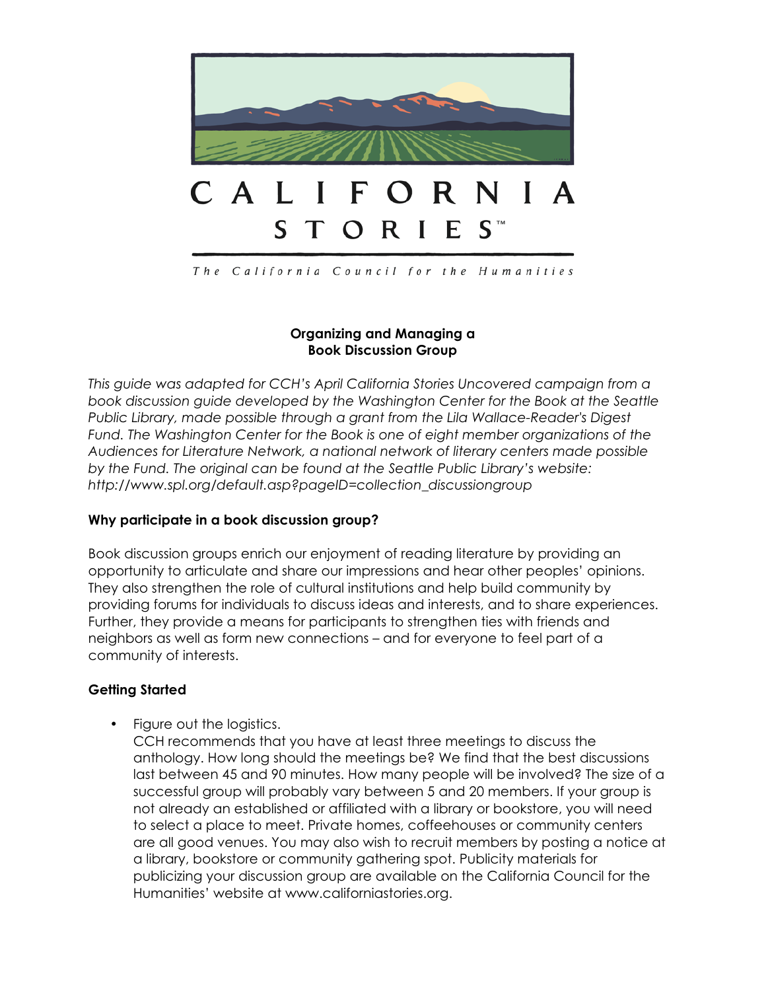

The California Council for the Humanities

### **Organizing and Managing a Book Discussion Group**

*This guide was adapted for CCH's April California Stories Uncovered campaign from a book discussion guide developed by the Washington Center for the Book at the Seattle Public Library, made possible through a grant from the Lila Wallace-Reader's Digest Fund. The Washington Center for the Book is one of eight member organizations of the Audiences for Literature Network, a national network of literary centers made possible by the Fund. The original can be found at the Seattle Public Library's website: http://www.spl.org/default.asp?pageID=collection\_discussiongroup*

### **Why participate in a book discussion group?**

Book discussion groups enrich our enjoyment of reading literature by providing an opportunity to articulate and share our impressions and hear other peoples' opinions. They also strengthen the role of cultural institutions and help build community by providing forums for individuals to discuss ideas and interests, and to share experiences. Further, they provide a means for participants to strengthen ties with friends and neighbors as well as form new connections – and for everyone to feel part of a community of interests.

### **Getting Started**

• Figure out the logistics.

CCH recommends that you have at least three meetings to discuss the anthology. How long should the meetings be? We find that the best discussions last between 45 and 90 minutes. How many people will be involved? The size of a successful group will probably vary between 5 and 20 members. If your group is not already an established or affiliated with a library or bookstore, you will need to select a place to meet. Private homes, coffeehouses or community centers are all good venues. You may also wish to recruit members by posting a notice at a library, bookstore or community gathering spot. Publicity materials for publicizing your discussion group are available on the California Council for the Humanities' website at www.californiastories.org.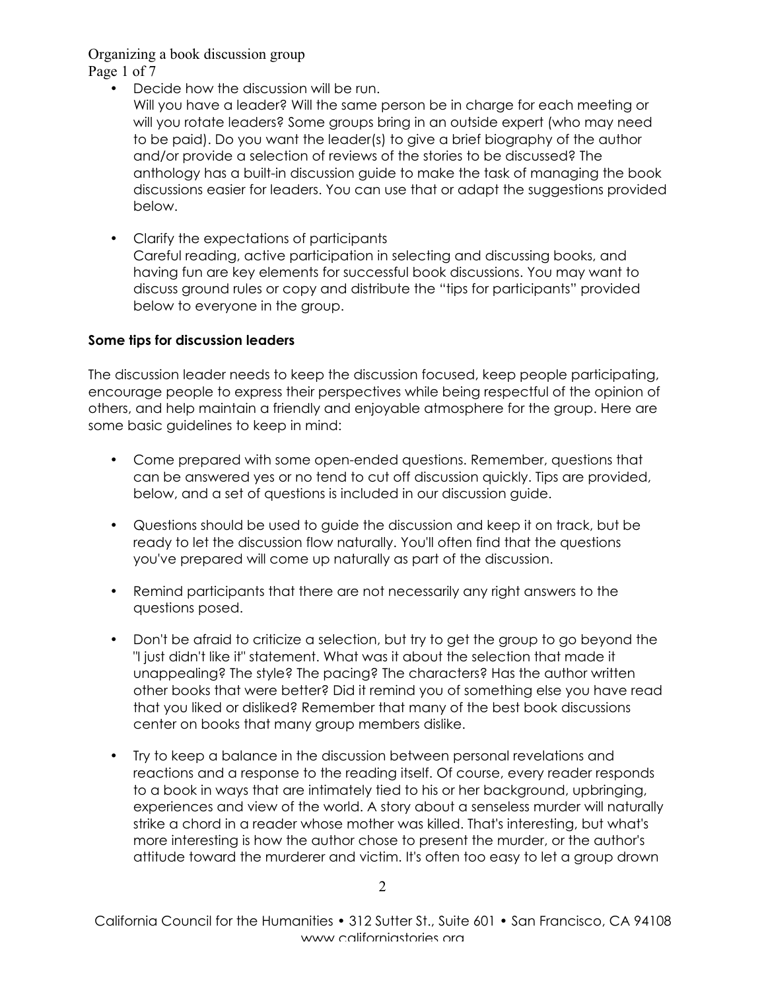Page 1 of 7

- Decide how the discussion will be run.
	- Will you have a leader? Will the same person be in charge for each meeting or will you rotate leaders? Some groups bring in an outside expert (who may need to be paid). Do you want the leader(s) to give a brief biography of the author and/or provide a selection of reviews of the stories to be discussed? The anthology has a built-in discussion guide to make the task of managing the book discussions easier for leaders. You can use that or adapt the suggestions provided below.
- Clarify the expectations of participants Careful reading, active participation in selecting and discussing books, and having fun are key elements for successful book discussions. You may want to discuss ground rules or copy and distribute the "tips for participants" provided below to everyone in the group.

## **Some tips for discussion leaders**

The discussion leader needs to keep the discussion focused, keep people participating, encourage people to express their perspectives while being respectful of the opinion of others, and help maintain a friendly and enjoyable atmosphere for the group. Here are some basic guidelines to keep in mind:

- Come prepared with some open-ended questions. Remember, questions that can be answered yes or no tend to cut off discussion quickly. Tips are provided, below, and a set of questions is included in our discussion guide.
- Questions should be used to guide the discussion and keep it on track, but be ready to let the discussion flow naturally. You'll often find that the questions you've prepared will come up naturally as part of the discussion.
- Remind participants that there are not necessarily any right answers to the questions posed.
- Don't be afraid to criticize a selection, but try to get the group to go beyond the "I just didn't like it" statement. What was it about the selection that made it unappealing? The style? The pacing? The characters? Has the author written other books that were better? Did it remind you of something else you have read that you liked or disliked? Remember that many of the best book discussions center on books that many group members dislike.
- Try to keep a balance in the discussion between personal revelations and reactions and a response to the reading itself. Of course, every reader responds to a book in ways that are intimately tied to his or her background, upbringing, experiences and view of the world. A story about a senseless murder will naturally strike a chord in a reader whose mother was killed. That's interesting, but what's more interesting is how the author chose to present the murder, or the author's attitude toward the murderer and victim. It's often too easy to let a group drown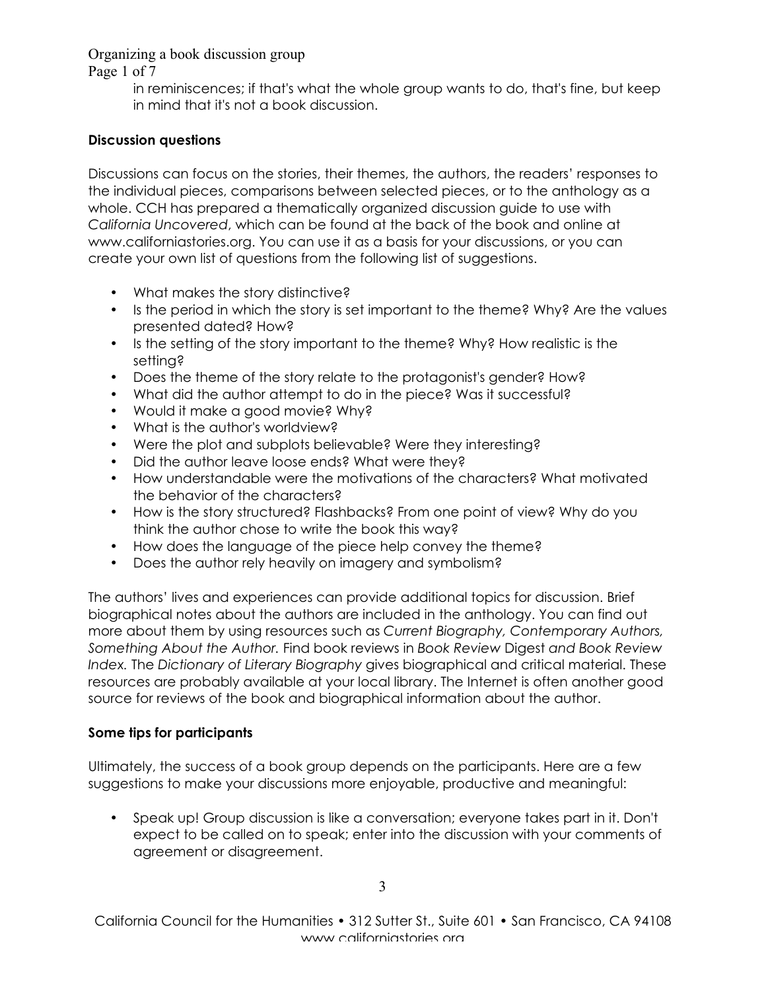Page 1 of 7

in reminiscences; if that's what the whole group wants to do, that's fine, but keep in mind that it's not a book discussion.

# **Discussion questions**

Discussions can focus on the stories, their themes, the authors, the readers' responses to the individual pieces, comparisons between selected pieces, or to the anthology as a whole. CCH has prepared a thematically organized discussion guide to use with *California Uncovered*, which can be found at the back of the book and online at www.californiastories.org. You can use it as a basis for your discussions, or you can create your own list of questions from the following list of suggestions.

- What makes the story distinctive?
- Is the period in which the story is set important to the theme? Why? Are the values presented dated? How?
- Is the setting of the story important to the theme? Why? How realistic is the setting?
- Does the theme of the story relate to the protagonist's gender? How?
- What did the author attempt to do in the piece? Was it successful?
- Would it make a good movie? Why?
- What is the author's worldview?
- Were the plot and subplots believable? Were they interesting?
- Did the author leave loose ends? What were they?
- How understandable were the motivations of the characters? What motivated the behavior of the characters?
- How is the story structured? Flashbacks? From one point of view? Why do you think the author chose to write the book this way?
- How does the language of the piece help convey the theme?
- Does the author rely heavily on imagery and symbolism?

The authors' lives and experiences can provide additional topics for discussion. Brief biographical notes about the authors are included in the anthology. You can find out more about them by using resources such as *Current Biography, Contemporary Authors, Something About the Author.* Find book reviews in *Book Review* Digest *and Book Review Index.* The *Dictionary of Literary Biography* gives biographical and critical material. These resources are probably available at your local library. The Internet is often another good source for reviews of the book and biographical information about the author.

# **Some tips for participants**

Ultimately, the success of a book group depends on the participants. Here are a few suggestions to make your discussions more enjoyable, productive and meaningful:

• Speak up! Group discussion is like a conversation; everyone takes part in it. Don't expect to be called on to speak; enter into the discussion with your comments of agreement or disagreement.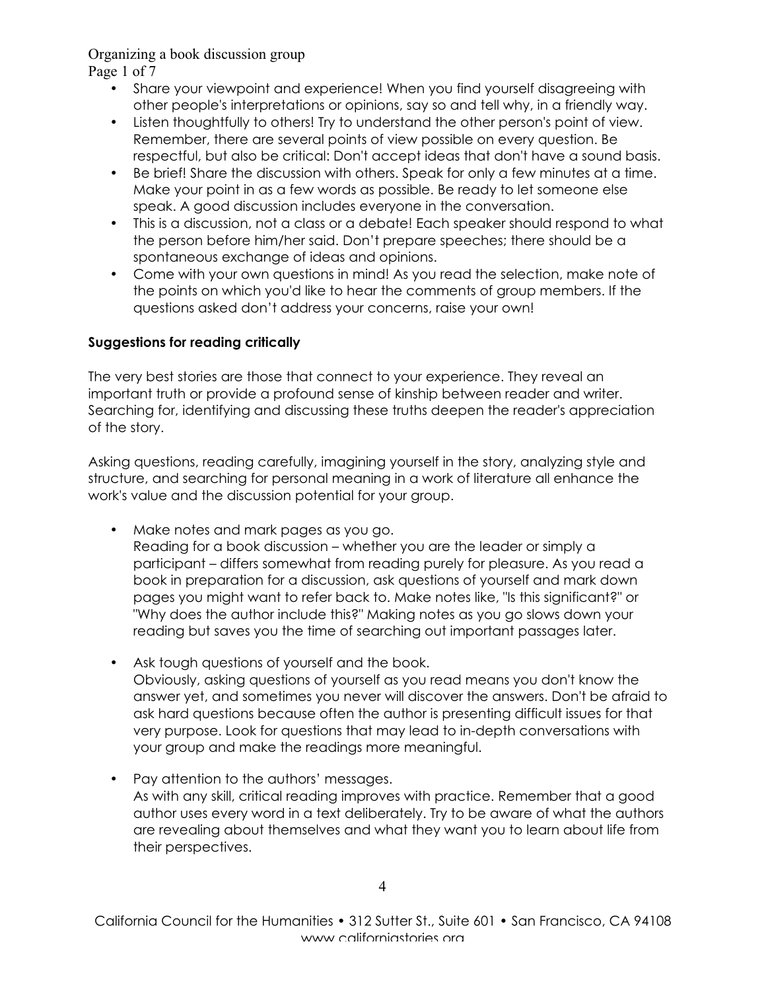Page 1 of 7

- Share your viewpoint and experience! When you find yourself disagreeing with other people's interpretations or opinions, say so and tell why, in a friendly way.
- Listen thoughtfully to others! Try to understand the other person's point of view. Remember, there are several points of view possible on every question. Be respectful, but also be critical: Don't accept ideas that don't have a sound basis.
- Be brief! Share the discussion with others. Speak for only a few minutes at a time. Make your point in as a few words as possible. Be ready to let someone else speak. A good discussion includes everyone in the conversation.
- This is a discussion, not a class or a debate! Each speaker should respond to what the person before him/her said. Don't prepare speeches; there should be a spontaneous exchange of ideas and opinions.
- Come with your own questions in mind! As you read the selection, make note of the points on which you'd like to hear the comments of group members. If the questions asked don't address your concerns, raise your own!

## **Suggestions for reading critically**

The very best stories are those that connect to your experience. They reveal an important truth or provide a profound sense of kinship between reader and writer. Searching for, identifying and discussing these truths deepen the reader's appreciation of the story.

Asking questions, reading carefully, imagining yourself in the story, analyzing style and structure, and searching for personal meaning in a work of literature all enhance the work's value and the discussion potential for your group.

- Make notes and mark pages as you go. Reading for a book discussion – whether you are the leader or simply a participant – differs somewhat from reading purely for pleasure. As you read a book in preparation for a discussion, ask questions of yourself and mark down pages you might want to refer back to. Make notes like, "Is this significant?" or "Why does the author include this?" Making notes as you go slows down your reading but saves you the time of searching out important passages later.
- Ask tough questions of yourself and the book. Obviously, asking questions of yourself as you read means you don't know the answer yet, and sometimes you never will discover the answers. Don't be afraid to ask hard questions because often the author is presenting difficult issues for that very purpose. Look for questions that may lead to in-depth conversations with your group and make the readings more meaningful.
- Pay attention to the authors' messages. As with any skill, critical reading improves with practice. Remember that a good author uses every word in a text deliberately. Try to be aware of what the authors are revealing about themselves and what they want you to learn about life from their perspectives.